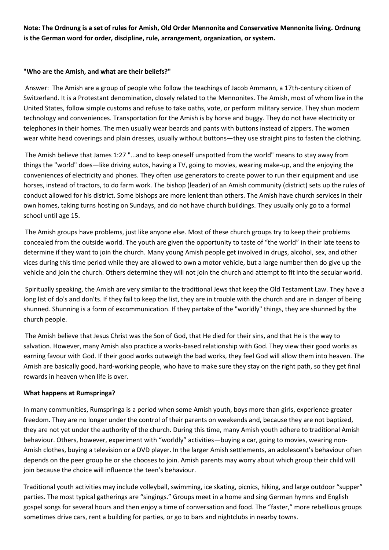**Note: The Ordnung is a set of rules for Amish, Old Order Mennonite and Conservative Mennonite living. Ordnung is the German word for order, discipline, rule, arrangement, organization, or system.**

## **"Who are the Amish, and what are their beliefs?"**

Answer: The Amish are a group of people who follow the teachings of Jacob Ammann, a 17th-century citizen of Switzerland. It is a Protestant denomination, closely related to the Mennonites. The Amish, most of whom live in the United States, follow simple customs and refuse to take oaths, vote, or perform military service. They shun modern technology and conveniences. Transportation for the Amish is by horse and buggy. They do not have electricity or telephones in their homes. The men usually wear beards and pants with buttons instead of zippers. The women wear white head coverings and plain dresses, usually without buttons—they use straight pins to fasten the clothing.

The Amish believe that James 1:27 "...and to keep oneself unspotted from the world" means to stay away from things the "world" does—like driving autos, having a TV, going to movies, wearing make-up, and the enjoying the conveniences of electricity and phones. They often use generators to create power to run their equipment and use horses, instead of tractors, to do farm work. The bishop (leader) of an Amish community (district) sets up the rules of conduct allowed for his district. Some bishops are more lenient than others. The Amish have church services in their own homes, taking turns hosting on Sundays, and do not have church buildings. They usually only go to a formal school until age 15.

The Amish groups have problems, just like anyone else. Most of these church groups try to keep their problems concealed from the outside world. The youth are given the opportunity to taste of "the world" in their late teens to determine if they want to join the church. Many young Amish people get involved in drugs, alcohol, sex, and other vices during this time period while they are allowed to own a motor vehicle, but a large number then do give up the vehicle and join the church. Others determine they will not join the church and attempt to fit into the secular world.

Spiritually speaking, the Amish are very similar to the traditional Jews that keep the Old Testament Law. They have a long list of do's and don'ts. If they fail to keep the list, they are in trouble with the church and are in danger of being shunned. Shunning is a form of excommunication. If they partake of the "worldly" things, they are shunned by the church people.

The Amish believe that Jesus Christ was the Son of God, that He died for their sins, and that He is the way to salvation. However, many Amish also practice a works-based relationship with God. They view their good works as earning favour with God. If their good works outweigh the bad works, they feel God will allow them into heaven. The Amish are basically good, hard-working people, who have to make sure they stay on the right path, so they get final rewards in heaven when life is over.

## **What happens at Rumspringa?**

In many communities, Rumspringa is a period when some Amish youth, boys more than girls, experience greater freedom. They are no longer under the control of their parents on weekends and, because they are not baptized, they are not yet under the authority of the church. During this time, many Amish youth adhere to traditional Amish behaviour. Others, however, experiment with "worldly" activities—buying a car, going to movies, wearing non-Amish clothes, buying a television or a DVD player. In the larger Amish settlements, an adolescent's behaviour often depends on the peer group he or she chooses to join. Amish parents may worry about which group their child will join because the choice will influence the teen's behaviour.

Traditional youth activities may include volleyball, swimming, ice skating, picnics, hiking, and large outdoor "supper" parties. The most typical gatherings are "singings." Groups meet in a home and sing German hymns and English gospel songs for several hours and then enjoy a time of conversation and food. The "faster," more rebellious groups sometimes drive cars, rent a building for parties, or go to bars and nightclubs in nearby towns.